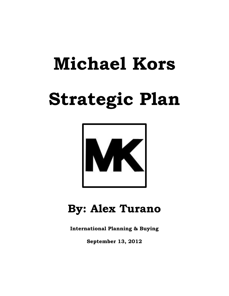# **Michael Kors Strategic Plan**



# **By: Alex Turano**

**International Planning & Buying**

**September 13, 2012**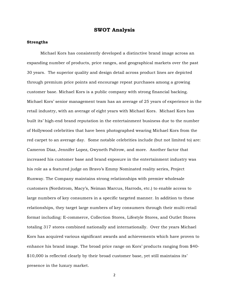#### **Strengths**

Michael Kors has consistently developed a distinctive brand image across an expanding number of products, price ranges, and geographical markets over the past 30 years. The superior quality and design detail across product lines are depicted through premium price points and encourage repeat purchases among a growing customer base. Michael Kors is a public company with strong financial backing. Michael Kors' senior management team has an average of 25 years of experience in the retail industry, with an average of eight years with Michael Kors. Michael Kors has built its' high-end brand reputation in the entertainment business due to the number of Hollywood celebrities that have been photographed wearing Michael Kors from the red carpet to an average day. Some notable celebrities include (but not limited to) are: Cameron Diaz, Jennifer Lopez, Gwyneth Paltrow, and more. Another factor that increased his customer base and brand exposure in the entertainment industry was his role as a featured judge on Bravo's Emmy Nominated reality series, Project Runway. The Company maintains strong relationships with premier wholesale customers (Nordstrom, Macy's, Neiman Marcus, Harrods, etc.) to enable access to large numbers of key consumers in a specific targeted manner. In addition to these relationships, they target large numbers of key consumers through their multi-retail format including: E-commerce, Collection Stores, Lifestyle Stores, and Outlet Stores totaling 317 stores combined nationally and internationally. Over the years Michael Kors has acquired various significant awards and achievements which have proven to enhance his brand image. The broad price range on Kors' products ranging from \$40- \$10,000 is reflected clearly by their broad customer base, yet still maintains its' presence in the luxury market.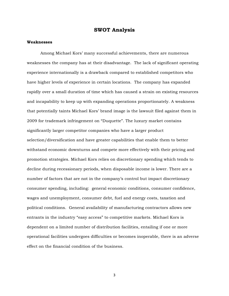#### **Weaknesses**

Among Michael Kors' many successful achievements, there are numerous weaknesses the company has at their disadvantage. The lack of significant operating experience internationally is a drawback compared to established competitors who have higher levels of experience in certain locations. The company has expanded rapidly over a small duration of time which has caused a strain on existing resources and incapability to keep up with expanding operations proportionately. A weakness that potentially taints Michael Kors' brand image is the lawsuit filed against them in 2009 for trademark infringement on "Duquette". The luxury market contains significantly larger competitor companies who have a larger product selection/diversification and have greater capabilities that enable them to better withstand economic downturns and compete more effectively with their pricing and promotion strategies. Michael Kors relies on discretionary spending which tends to decline during recessionary periods, when disposable income is lower. There are a number of factors that are not in the company's control but impact discretionary consumer spending, including: general economic conditions, consumer confidence, wages and unemployment, consumer debt, fuel and energy costs, taxation and political conditions. General availability of manufacturing contractors allows new entrants in the industry "easy access" to competitive markets. Michael Kors is dependent on a limited number of distribution facilities, entailing if one or more operational facilities undergoes difficulties or becomes inoperable, there is an adverse effect on the financial condition of the business.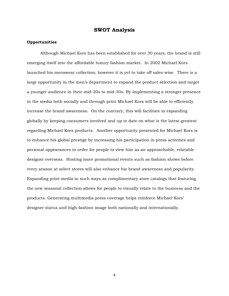#### **Opportunities**

Although Michael Kors has been established for over 30 years, the brand is still emerging itself into the affordable luxury fashion market. In 2002 Michael Kors launched his menswear collection; however it is yet to take off sales-wise. There is a large opportunity in the men's department to expand the product selection and target a younger audience in their mid-20s to mid-30s. By implementing a stronger presence in the media both socially and through print Michael Kors will be able to efficiently increase the brand awareness. On the contrary, this will facilitate in expanding globally by keeping consumers involved and up to date on what is the latest greatest regarding Michael Kors products. Another opportunity presented for Michael Kors is to enhance his global prestige by increasing his participation in press activities and personal appearances in order for people to view him as an approachable, relatable designer overseas. Hosting more promotional events such as fashion shows before every season at select stores will also enhance his brand awareness and popularity. Expanding print media in such ways as complimentary store catalogs that featuring the new seasonal collection allows for people to visually relate to the business and the products. Generating multimedia press coverage helps reinforce Michael Kors' designer status and high-fashion image both nationally and internationally.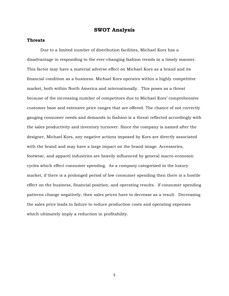#### **Threats**

Due to a limited number of distribution facilities, Michael Kors has a disadvantage in responding to the ever-changing fashion trends in a timely manner. This factor may have a material adverse effect on Michael Kors as a brand and its financial condition as a business. Michael Kors operates within a highly competitive market, both within North America and internationally. This poses as a threat because of the increasing number of competitors due to Michael Kors' comprehensive customer base and extensive price ranges that are offered. The chance of not correctly gauging consumer needs and demands in fashion is a threat reflected accordingly with the sales productivity and inventory turnover. Since the company is named after the designer, Michael Kors, any negative actions imposed by Kors are directly associated with the brand and may have a large impact on the brand image. Accessories, footwear, and apparel industries are heavily influenced by general macro-economic cycles which effect consumer spending. As a company categorized in the luxury market, if there is a prolonged period of low consumer spending then there is a hostile effect on the business, financial position, and operating results. If consumer spending patterns change negatively, then sales prices have to decrease as a result. Decreasing the sales price leads to failure to reduce production costs and operating expenses which ultimately imply a reduction in profitability.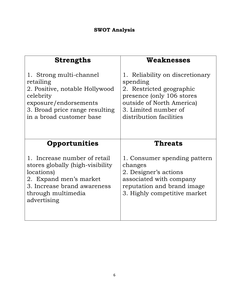| <b>Strengths</b>                 | Weaknesses                      |
|----------------------------------|---------------------------------|
| 1. Strong multi-channel          | 1. Reliability on discretionary |
| retailing                        | spending                        |
| 2. Positive, notable Hollywood   | 2. Restricted geographic        |
| celebrity                        | presence (only 106 stores       |
| exposure/endorsements            | outside of North America)       |
| 3. Broad price range resulting   | 3. Limited number of            |
| in a broad customer base         | distribution facilities         |
| <b>Opportunities</b>             | <b>Threats</b>                  |
| 1. Increase number of retail     | 1. Consumer spending pattern    |
| stores globally (high-visibility | changes                         |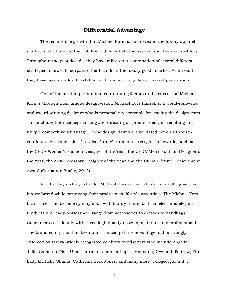# **Differential Advantage**

The remarkable growth that Michael Kors has achieved in the luxury apparel market is attributed to their ability to differentiate themselves from their competitors. Throughout the past decade, they have relied on a combination of several different strategies in order to surpass other brands in the luxury goods market. As a result, they have become a firmly established brand with significant market penetration.

One of the most important and contributing factors to the success of Michael Kors is through their unique design vision. Michael Kors himself is a world-renowned and award winning designer who is personally responsible for leading the design team. This includes both conceptualizing and directing all product designs, resulting in a unique competitive advantage. These design claims are validated not only through continuously strong sales, but also through numerous recognition awards, such as the CFDA Women's Fashion Designer of the Year, the CFDA Men's Fashion Designer of the Year, the ACE Accessory Designer of the Year and the CFDA Lifetime Achievement Award (Corporate Profile, 2012).

Another key distinguisher for Michael Kors is their ability to rapidly grow their luxury brand while portraying their products as lifestyle essentials. The Michael Kors brand itself has become synonymous with luxury that is both timeless and elegant. Products are ready-to-wear and range from accessories to dresses to handbags. Consumers self identify with these high quality designs, materials and craftsmanship. The brand equity that has been built is a competitive advantage and is strongly enforced by several widely recognized celebrity trendsetters who include Angeline Jolie, Cameron Diaz, Uma Thurman, Jennifer Lopez, Madonna, Gwyneth Paltrow, First Lady Michelle Obama, Catherine Zeta Jones, and many more (Pologeorgis, n.d.).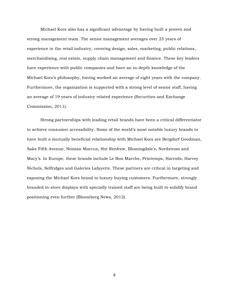Michael Kors also has a significant advantage by having built a proven and strong management team. The senior management averages over 25 years of experience in the retail industry, covering design, sales, marketing, public relations, merchandising, real estate, supply chain management and finance. These key leaders have experience with public companies and have an in-depth knowledge of the Michael Kors's philosophy, having worked an average of eight years with the company. Furthermore, the organization is supported with a strong level of senior staff, having an average of 19 years of industry related experience (Securities and Exchange Commission, 2011).

Strong partnerships with leading retail brands have been a critical differentiator to achieve consumer accessibility. Some of the world's most notable luxury brands to have built a mutually beneficial relationship with Michael Kors are Bergdorf Goodman, Saks Fifth Avenue, Neiman Marcus, Hot Renfrew, Blomingdale's, Nordstrom and Macy's. In Europe, these brands include Le Bon Marche, Printemps, Harrods, Harvey Nichols, Selfridges and Galeries Lafayette. These partners are critical in targeting and exposing the Michael Kors brand to luxury buying customers. Furthermore, strongly branded in-store displays with specially trained staff are being built to solidify brand positioning even further (Bloomberg News, 2012).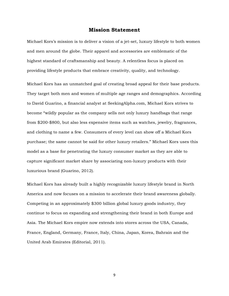#### **Mission Statement**

Michael Kors's mission is to deliver a vision of a jet-set, luxury lifestyle to both women and men around the globe. Their apparel and accessories are emblematic of the highest standard of craftsmanship and beauty. A relentless focus is placed on providing lifestyle products that embrace creativity, quality, and technology.

Michael Kors has an unmatched goal of creating broad appeal for their base products*.*  They target both men and women of multiple age ranges and demographics. According to David Guarino, a financial analyst at SeekingAlpha.com, Michael Kors strives to become "wildly popular as the company sells not only luxury handbags that range from \$200-\$800, but also less expensive items such as watches, jewelry, fragrances, and clothing to name a few. Consumers of every level can show off a Michael Kors purchase; the same cannot be said for other luxury retailers." Michael Kors uses this model as a base for penetrating the luxury consumer market as they are able to capture significant market share by associating non-luxury products with their luxurious brand (Guarino, 2012).

Michael Kors has already built a highly recognizable luxury lifestyle brand in North America and now focuses on a mission to accelerate their brand awareness globally. Competing in an approximately \$300 billion global luxury goods industry, they continue to focus on expanding and strengthening their brand in both Europe and Asia. The Michael Kors empire now extends into stores across the USA, Canada, France, England, Germany, France, Italy, China, Japan, Korea, Bahrain and the United Arab Emirates (Editorial, 2011).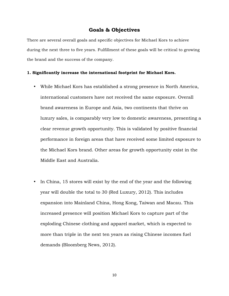# **Goals & Objectives**

There are several overall goals and specific objectives for Michael Kors to achieve during the next three to five years. Fulfillment of these goals will be critical to growing the brand and the success of the company.

#### **1. Significantly increase the international footprint for Michael Kors.**

- While Michael Kors has established a strong presence in North America, international customers have not received the same exposure. Overall brand awareness in Europe and Asia, two continents that thrive on luxury sales, is comparably very low to domestic awareness, presenting a clear revenue growth opportunity. This is validated by positive financial performance in foreign areas that have received some limited exposure to the Michael Kors brand. Other areas for growth opportunity exist in the Middle East and Australia.
- In China, 15 stores will exist by the end of the year and the following year will double the total to 30 (Red Luxury, 2012). This includes expansion into Mainland China, Hong Kong, Taiwan and Macau. This increased presence will position Michael Kors to capture part of the exploding Chinese clothing and apparel market, which is expected to more than triple in the next ten years as rising Chinese incomes fuel demands (Bloomberg News, 2012).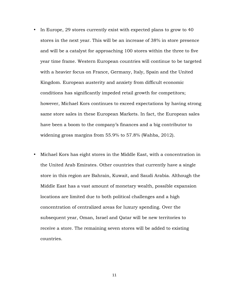- In Europe, 29 stores currently exist with expected plans to grow to 40 stores in the next year. This will be an increase of 38% in store presence and will be a catalyst for approaching 100 stores within the three to five year time frame. Western European countries will continue to be targeted with a heavier focus on France, Germany, Italy, Spain and the United Kingdom. European austerity and anxiety from difficult economic conditions has significantly impeded retail growth for competitors; however, Michael Kors continues to exceed expectations by having strong same store sales in these European Markets. In fact, the European sales have been a boom to the company's finances and a big contributor to widening gross margins from 55.9% to 57.8% (Wahba, 2012).
- Michael Kors has eight stores in the Middle East, with a concentration in the United Arab Emirates. Other countries that currently have a single store in this region are Bahrain, Kuwait, and Saudi Arabia. Although the Middle East has a vast amount of monetary wealth, possible expansion locations are limited due to both political challenges and a high concentration of centralized areas for luxury spending. Over the subsequent year, Oman, Israel and Qatar will be new territories to receive a store. The remaining seven stores will be added to existing countries.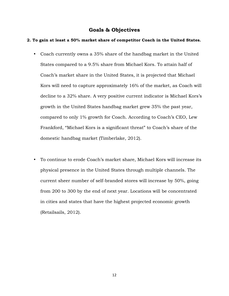# **Goals & Objectives**

#### **2. To gain at least a 50% market share of competitor Coach in the United States.**

- Coach currently owns a 35% share of the handbag market in the United States compared to a 9.5% share from Michael Kors. To attain half of Coach's market share in the United States, it is projected that Michael Kors will need to capture approximately 16% of the market, as Coach will decline to a 32% share. A very positive current indicator is Michael Kors's growth in the United States handbag market grew 35% the past year, compared to only 1% growth for Coach. According to Coach's CEO, Lew Frankford, "Michael Kors is a significant threat" to Coach's share of the domestic handbag market (Timberlake, 2012).
- To continue to erode Coach's market share, Michael Kors will increase its physical presence in the United States through multiple channels. The current sheer number of self-branded stores will increase by 50%, going from 200 to 300 by the end of next year. Locations will be concentrated in cities and states that have the highest projected economic growth (Retailsails, 2012).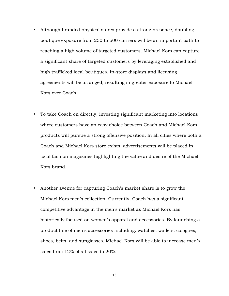- Although branded physical stores provide a strong presence, doubling boutique exposure from 250 to 500 carriers will be an important path to reaching a high volume of targeted customers. Michael Kors can capture a significant share of targeted customers by leveraging established and high trafficked local boutiques. In-store displays and licensing agreements will be arranged, resulting in greater exposure to Michael Kors over Coach.
- To take Coach on directly, investing significant marketing into locations where customers have an easy choice between Coach and Michael Kors products will pursue a strong offensive position. In all cities where both a Coach and Michael Kors store exists, advertisements will be placed in local fashion magazines highlighting the value and desire of the Michael Kors brand.
- Another avenue for capturing Coach's market share is to grow the Michael Kors men's collection. Currently, Coach has a significant competitive advantage in the men's market as Michael Kors has historically focused on women's apparel and accessories. By launching a product line of men's accessories including: watches, wallets, colognes, shoes, belts, and sunglasses, Michael Kors will be able to increase men's sales from 12% of all sales to 20%.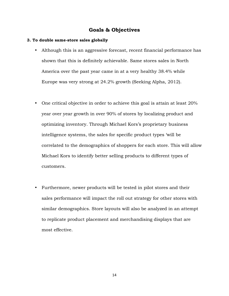# **Goals & Objectives**

# **3. To double same-store sales globally**

- Although this is an aggressive forecast, recent financial performance has shown that this is definitely achievable. Same stores sales in North America over the past year came in at a very healthy 38.4% while Europe was very strong at 24.2% growth (Seeking Alpha, 2012).
- One critical objective in order to achieve this goal is attain at least 20% year over year growth in over 90% of stores by localizing product and optimizing inventory. Through Michael Kors's proprietary business intelligence systems, the sales for specific product types 'will be correlated to the demographics of shoppers for each store. This will allow Michael Kors to identify better selling products to different types of customers.
- Furthermore, newer products will be tested in pilot stores and their sales performance will impact the roll out strategy for other stores with similar demographics. Store layouts will also be analyzed in an attempt to replicate product placement and merchandising displays that are most effective.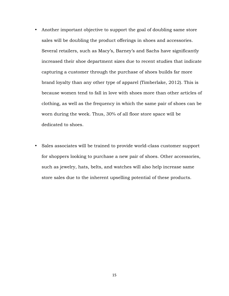- Another important objective to support the goal of doubling same store sales will be doubling the product offerings in shoes and accessories. Several retailers, such as Macy's, Barney's and Sachs have significantly increased their shoe department sizes due to recent studies that indicate capturing a customer through the purchase of shoes builds far more brand loyalty than any other type of apparel (Timberlake, 2012). This is because women tend to fall in love with shoes more than other articles of clothing, as well as the frequency in which the same pair of shoes can be worn during the week. Thus, 30% of all floor store space will be dedicated to shoes.
- Sales associates will be trained to provide world-class customer support for shoppers looking to purchase a new pair of shoes. Other accessories, such as jewelry, hats, belts, and watches will also help increase same store sales due to the inherent upselling potential of these products.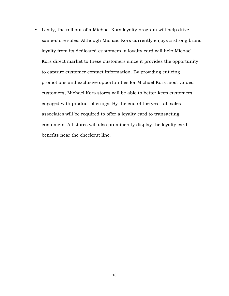• Lastly, the roll out of a Michael Kors loyalty program will help drive same-store sales. Although Michael Kors currently enjoys a strong brand loyalty from its dedicated customers, a loyalty card will help Michael Kors direct market to these customers since it provides the opportunity to capture customer contact information. By providing enticing promotions and exclusive opportunities for Michael Kors most valued customers, Michael Kors stores will be able to better keep customers engaged with product offerings. By the end of the year, all sales associates will be required to offer a loyalty card to transacting customers. All stores will also prominently display the loyalty card benefits near the checkout line.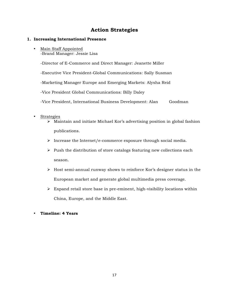# **Action Strategies**

## **1. Increasing International Presence**

• Main Staff Appointed -Brand Manager: Jessie Lisa

-Director of E-Commerce and Direct Manager: Jeanette Miller

-Executive Vice President-Global Communications: Sally Susman

-Marketing Manager Europe and Emerging Markets: Alysha Reid

-Vice President Global Communications: Billy Daley

-Vice President, International Business Development: Alan Goodman

#### • Strategies

- $\triangleright$  Maintain and initiate Michael Kor's advertising position in global fashion publications.
- $\triangleright$  Increase the Internet/e-commerce exposure through social media.
- $\triangleright$  Push the distribution of store catalogs featuring new collections each season.
- $\triangleright$  Host semi-annual runway shows to reinforce Kor's designer status in the European market and generate global multimedia press coverage.
- $\triangleright$  Expand retail store base in pre-eminent, high-visibility locations within China, Europe, and the Middle East.

# • **Timeline: 4 Years**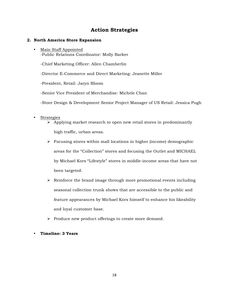# **Action Strategies**

#### **2. North America Store Expansion**

• Main Staff Appointed -Public Relations Coordinator: Molly Barker

-Chief Marketing Officer: Allen Chamberlin

-Director E-Commerce and Direct Marketing: Jeanette Miller

-President, Retail: Jaryn Bloom

-Senior Vice President of Merchandise: Michele Chan

-Store Design & Development Senior Project Manager of US Retail: Jessica Pugh

- Strategies
	- $\triangleright$  Applying market research to open new retail stores in predominantly high traffic, urban areas.
	- $\triangleright$  Focusing stores within mall locations in higher (income) demographic areas for the "Collection" stores and focusing the Outlet and MICHAEL by Michael Kors "Lifestyle" stores in middle-income areas that have not been targeted.
	- $\triangleright$  Reinforce the brand image through more promotional events including seasonal collection trunk shows that are accessible to the public and feature appearances by Michael Kors himself to enhance his likeability and loyal customer base.
	- $\triangleright$  Produce new product offerings to create more demand.
- **Timeline: 3 Years**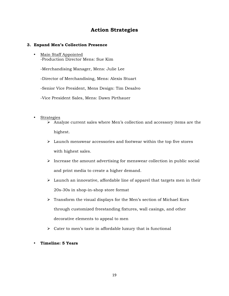# **Action Strategies**

## **3. Expand Men's Collection Presence**

• Main Staff Appointed -Production Director Mens: Sue Kim

-Merchandising Manager, Mens: Julie Lee

-Director of Merchandising, Mens: Alexis Stuart

-Senior Vice President, Mens Design: Tim Desalvo

- -Vice President Sales, Mens: Dawn Pirthauer
- Strategies
	- $\triangleright$  Analyze current sales where Men's collection and accessory items are the highest.
	- $\triangleright$  Launch menswear accessories and footwear within the top five stores with highest sales.
	- $\triangleright$  Increase the amount advertising for menswear collection in public social and print media to create a higher demand.
	- $\triangleright$  Launch an innovative, affordable line of apparel that targets men in their 20s-30s in shop-in-shop store format
	- $\triangleright$  Transform the visual displays for the Men's section of Michael Kors through customized freestanding fixtures, wall casings, and other decorative elements to appeal to men
	- $\triangleright$  Cater to men's taste in affordable luxury that is functional
- **Timeline: 5 Years**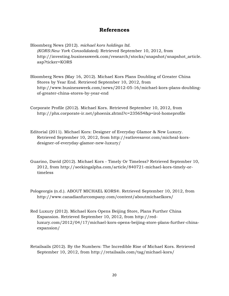# **References**

Bloomberg News (2012). *michael kors holdings ltd. (KORS:New York Consolidated).* Retrieved September 10, 2012, from http://investing.businessweek.com/research/stocks/snapshot/snapshot\_article. asp?ticker=KORS

- Bloomberg News (May 16, 2012). Michael Kors Plans Doubling of Greater China Stores by Year End. Retrieved September 10, 2012, from http://www.businessweek.com/news/2012-05-16/michael-kors-plans-doublingof-greater-china-stores-by-year-end
- Corporate Profile (2012). Michael Kors. Retrieved September 10, 2012, from http://phx.corporate-ir.net/phoenix.zhtml?c=235654&p=irol-homeprofile

Editorial (2011). Michael Kors: Designer of Everyday Glamor & New Luxury. Retrieved September 10, 2012, from http://eatlovesavor.com/micheal-korsdesigner-of-everyday-glamor-new-luxury/

- Guarino, David (2012). Michael Kors Timely Or Timeless? Retrieved September 10, 2012, from http://seekingalpha.com/article/840721-michael-kors-timely-ortimeless
- Pologeorgis (n.d.). ABOUT MICHAEL KORS®. Retrieved September 10, 2012, from http://www.canadianfurcompany.com/content/aboutmichaelkors/
- Red Luxury (2012). Michael Kors Opens Beijing Store, Plans Further China Expansion. Retrieved September 10, 2012, from http://redluxury.com/2012/04/17/michael-kors-opens-beijing-store-plans-further-chinaexpansion/
- Retailsails (2012). By the Numbers: The Incredible Rise of Michael Kors. Retrieved September 10, 2012, from http://retailsails.com/tag/michael-kors/